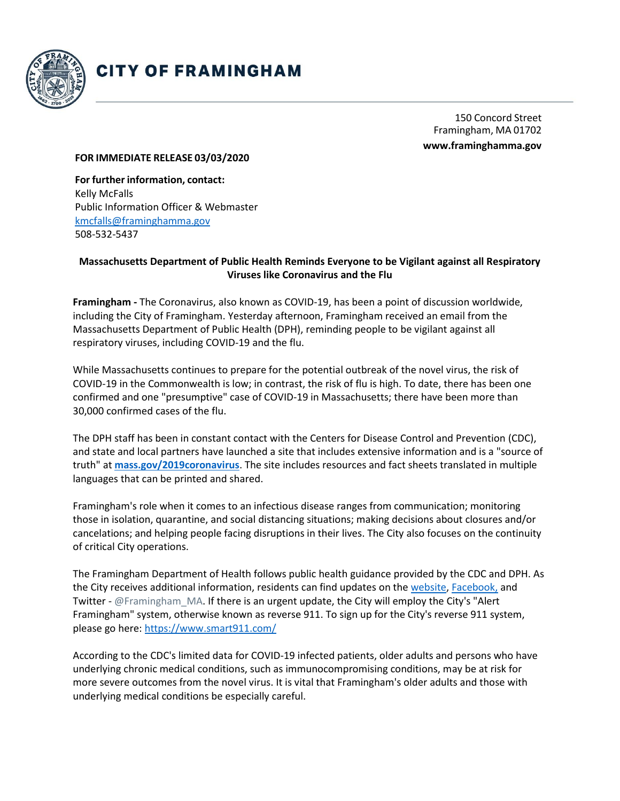

## **CITY OF FRAMINGHAM**

150 Concord Street Framingham, MA 01702 **[www.framinghamma.gov](http://www.framinghamma.gov/)**

## **FOR IMMEDIATE RELEASE 03/03/2020**

**For further information, contact:** Kelly McFalls Public Information Officer & Webmaster [kmcfalls@framinghamma.gov](mailto:kmcfalls@framinghamma.gov) 508-532-5437

## **Massachusetts Department of Public Health Reminds Everyone to be Vigilant against all Respiratory Viruses like Coronavirus and the Flu**

**Framingham -** The Coronavirus, also known as COVID-19, has been a point of discussion worldwide, including the City of Framingham. Yesterday afternoon, Framingham received an email from the Massachusetts Department of Public Health (DPH), reminding people to be vigilant against all respiratory viruses, including COVID-19 and the flu.

While Massachusetts continues to prepare for the potential outbreak of the novel virus, the risk of COVID-19 in the Commonwealth is low; in contrast, the risk of flu is high. To date, there has been one confirmed and one "presumptive" case of COVID-19 in Massachusetts; there have been more than 30,000 confirmed cases of the flu.

The DPH staff has been in constant contact with the Centers for Disease Control and Prevention (CDC), and state and local partners have launched a site that includes extensive information and is a "source of truth" at **[mass.gov/2019coronavirus](https://www.mass.gov/guides/information-on-the-outbreak-of-2019-novel-coronavirus-covid-19)**. The site includes resources and fact sheets translated in multiple languages that can be printed and shared.

Framingham's role when it comes to an infectious disease ranges from communication; monitoring those in isolation, quarantine, and social distancing situations; making decisions about closures and/or cancelations; and helping people facing disruptions in their lives. The City also focuses on the continuity of critical City operations.

The Framingham Department of Health follows public health guidance provided by the CDC and DPH. As the City receives additional information, residents can find updates on the [website,](https://www.framinghamma.gov/) [Facebook,](https://www.facebook.com/CityofFramingham/) and Twitter - @Framingham\_MA. If there is an urgent update, the City will employ the City's "Alert Framingham" system, otherwise known as reverse 911. To sign up for the City's reverse 911 system, please go here:<https://www.smart911.com/>

According to the CDC's limited data for COVID-19 infected patients, older adults and persons who have underlying chronic medical conditions, such as immunocompromising conditions, may be at risk for more severe outcomes from the novel virus. It is vital that Framingham's older adults and those with underlying medical conditions be especially careful.